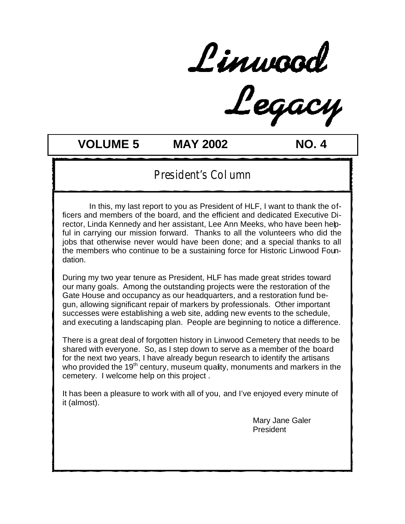Linwood<br>Legacy

# **VOLUME 5 MAY 2002 NO. 4**

### President's Column

 In this, my last report to you as President of HLF, I want to thank the officers and members of the board, and the efficient and dedicated Executive Director, Linda Kennedy and her assistant, Lee Ann Meeks, who have been helpful in carrying our mission forward. Thanks to all the volunteers who did the jobs that otherwise never would have been done; and a special thanks to all the members who continue to be a sustaining force for Historic Linwood Foundation.

During my two year tenure as President, HLF has made great strides toward our many goals. Among the outstanding projects were the restoration of the Gate House and occupancy as our headquarters, and a restoration fund begun, allowing significant repair of markers by professionals. Other important successes were establishing a web site, adding new events to the schedule, and executing a landscaping plan. People are beginning to notice a difference.

There is a great deal of forgotten history in Linwood Cemetery that needs to be shared with everyone. So, as I step down to serve as a member of the board for the next two years, I have already begun research to identify the artisans who provided the 19<sup>th</sup> century, museum quality, monuments and markers in the cemetery. I welcome help on this project .

It has been a pleasure to work with all of you, and I've enjoyed every minute of it (almost).

> Mary Jane Galer **President**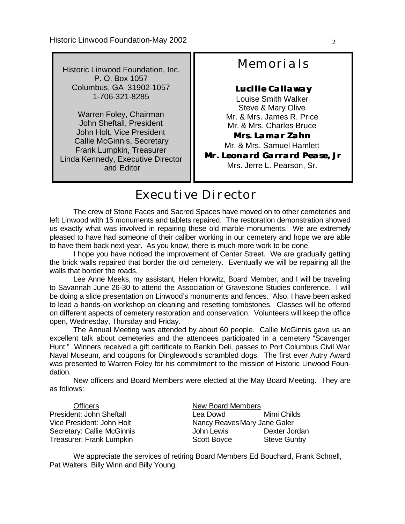Historic Linwood Foundation, Inc. P. O. Box 1057 Columbus, GA 31902-1057 1-706-321-8285

Warren Foley, Chairman John Sheftall, President John Holt, Vice President Callie McGinnis, Secretary Frank Lumpkin, Treasurer Linda Kennedy, Executive Director and Editor

# **Memorials**

#### **Lucille Callaway**

Louise Smith Walker Steve & Mary Olive Mr. & Mrs. James R. Price Mr. & Mrs. Charles Bruce **Mrs. Lamar Zahn** Mr. & Mrs. Samuel Hamlett

**Mr. Leonard Garrard Pease, Jr** Mrs. Jerre L. Pearson, Sr.

# Executive Director

l ne crew or Stone Faces and Sacred Spaces nave moved on to other cemeteries and<br>left Linwood with 15 monuments and tablets repaired. The restoration demonstration showed The crew of Stone Faces and Sacred Spaces have moved on to other cemeteries and us exactly what was involved in repairing these old marble monuments. We are extremely pleased to have had someone of their caliber working in our cemetery and hope we are able to have them back next year. As you know, there is much more work to be done.

 I hope you have noticed the improvement of Center Street. We are gradually getting the brick walls repaired that border the old cemetery. Eventually we will be repairing all the walls that border the roads.

 Lee Anne Meeks, my assistant, Helen Horwitz, Board Member, and I will be traveling to Savannah June 26-30 to attend the Association of Gravestone Studies conference. I will be doing a slide presentation on Linwood's monuments and fences. Also, I have been asked to lead a hands-on workshop on cleaning and resetting tombstones. Classes will be offered on different aspects of cemetery restoration and conservation. Volunteers will keep the office open, Wednesday, Thursday and Friday.

 The Annual Meeting was attended by about 60 people. Callie McGinnis gave us an excellent talk about cemeteries and the attendees participated in a cemetery "Scavenger Hunt." Winners received a gift certificate to Rankin Deli, passes to Port Columbus Civil War Naval Museum, and coupons for Dinglewood's scrambled dogs. The first ever Autry Award was presented to Warren Foley for his commitment to the mission of Historic Linwood Foundation.

 New officers and Board Members were elected at the May Board Meeting. They are as follows:

| <b>Officers</b>                 | <b>New Board Members</b>     |                    |
|---------------------------------|------------------------------|--------------------|
| President: John Sheftall        | Lea Dowd                     | Mimi Childs        |
| Vice President: John Holt       | Nancy Reaves Mary Jane Galer |                    |
| Secretary: Callie McGinnis      | John Lewis                   | Dexter Jordan      |
| <b>Treasurer: Frank Lumpkin</b> | Scott Boyce                  | <b>Steve Gunby</b> |

 We appreciate the services of retiring Board Members Ed Bouchard, Frank Schnell, Pat Walters, Billy Winn and Billy Young.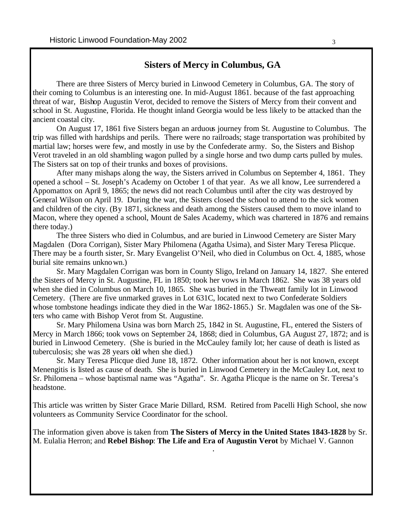### **Sisters of Mercy in Columbus, GA**

 There are three Sisters of Mercy buried in Linwood Cemetery in Columbus, GA. The story of their coming to Columbus is an interesting one. In mid-August 1861. because of the fast approaching threat of war, Bishop Augustin Verot, decided to remove the Sisters of Mercy from their convent and school in St. Augustine, Florida. He thought inland Georgia would be less likely to be attacked than the ancient coastal city.

 On August 17, 1861 five Sisters began an arduous journey from St. Augustine to Columbus. The trip was filled with hardships and perils. There were no railroads; stage transportation was prohibited by martial law; horses were few, and mostly in use by the Confederate army. So, the Sisters and Bishop Verot traveled in an old shambling wagon pulled by a single horse and two dump carts pulled by mules. The Sisters sat on top of their trunks and boxes of provisions.

 After many mishaps along the way, the Sisters arrived in Columbus on September 4, 1861. They opened a school – St. Joseph's Academy on October 1 of that year. As we all know, Lee surrendered a Appomattox on April 9, 1865; the news did not reach Columbus until after the city was destroyed by General Wilson on April 19. During the war, the Sisters closed the school to attend to the sick women and children of the city. (By 1871, sickness and death among the Sisters caused them to move inland to Macon, where they opened a school, Mount de Sales Academy, which was chartered in 1876 and remains there today.)

 The three Sisters who died in Columbus, and are buried in Linwood Cemetery are Sister Mary Magdalen (Dora Corrigan), Sister Mary Philomena (Agatha Usima), and Sister Mary Teresa Plicque. There may be a fourth sister, Sr. Mary Evangelist O'Neil, who died in Columbus on Oct. 4, 1885, whose burial site remains unknown.)

 Sr. Mary Magdalen Corrigan was born in County Sligo, Ireland on January 14, 1827. She entered the Sisters of Mercy in St. Augustine, FL in 1850; took her vows in March 1862. She was 38 years old when she died in Columbus on March 10, 1865. She was buried in the Thweatt family lot in Linwood Cemetery. (There are five unmarked graves in Lot 631C, located next to two Confederate Soldiers whose tombstone headings indicate they died in the War 1862-1865.) Sr. Magdalen was one of the Sisters who came with Bishop Verot from St. Augustine.

 Sr. Mary Philomena Usina was born March 25, 1842 in St. Augustine, FL, entered the Sisters of Mercy in March 1866; took vows on September 24, 1868; died in Columbus, GA August 27, 1872; and is buried in Linwood Cemetery. (She is buried in the McCauley family lot; her cause of death is listed as tuberculosis; she was 28 years old when she died.)

 Sr. Mary Teresa Plicque died June 18, 1872. Other information about her is not known, except Menengitis is listed as cause of death. She is buried in Linwood Cemetery in the McCauley Lot, next to Sr. Philomena – whose baptismal name was "Agatha". Sr. Agatha Plicque is the name on Sr. Teresa's headstone.

This article was written by Sister Grace Marie Dillard, RSM. Retired from Pacelli High School, she now volunteers as Community Service Coordinator for the school.

The information given above is taken from **The Sisters of Mercy in the United States 1843-1828** by Sr. M. Eulalia Herron; and **Rebel Bishop**: **The Life and Era of Augustin Verot** by Michael V. Gannon *.*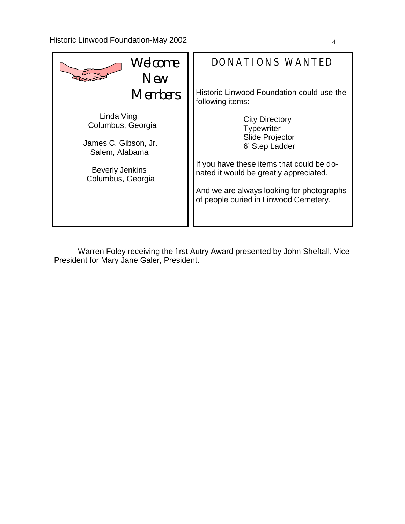

 Warren Foley receiving the first Autry Award presented by John Sheftall, Vice President for Mary Jane Galer, President.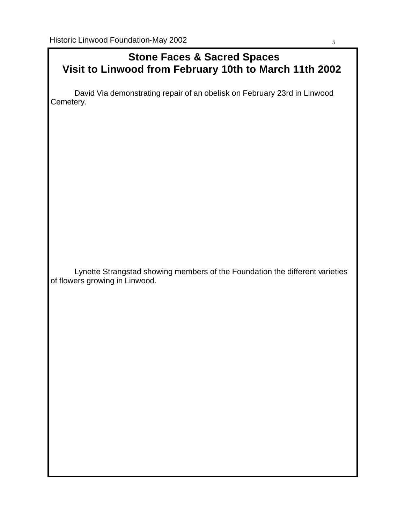### **Stone Faces & Sacred Spaces Visit to Linwood from February 10th to March 11th 2002**

David Via demonstrating repair of an obelisk on February 23rd in Linwood Cemetery.

 Lynette Strangstad showing members of the Foundation the different varieties of flowers growing in Linwood.